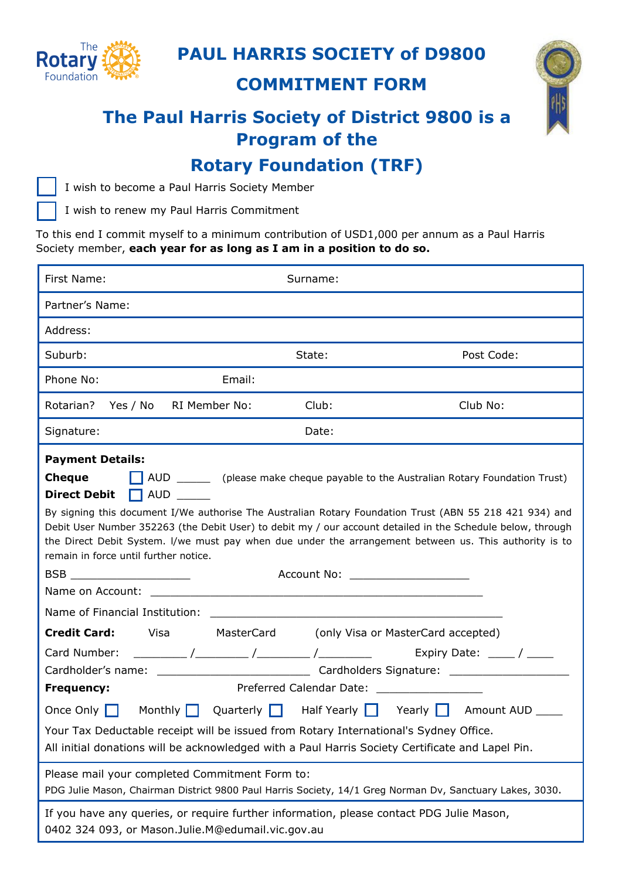

### **PAUL HARRIS SOCIETY of D9800**

**COMMITMENT FORM** 



# **The Paul Harris Society of District 9800 is a Program of the**

## **Rotary Foundation (TRF)**



I wish to become a Paul Harris Society Member

I wish to renew my Paul Harris Commitment

To this end I commit myself to a minimum contribution of USD1,000 per annum as a Paul Harris Society member, **each year for as long as I am in a position to do so.**

| First Name:                                                                                                                                                                                                                                                                                                                                                                                                                                                                                                                                  | Surname: |            |
|----------------------------------------------------------------------------------------------------------------------------------------------------------------------------------------------------------------------------------------------------------------------------------------------------------------------------------------------------------------------------------------------------------------------------------------------------------------------------------------------------------------------------------------------|----------|------------|
| Partner's Name:                                                                                                                                                                                                                                                                                                                                                                                                                                                                                                                              |          |            |
| Address:                                                                                                                                                                                                                                                                                                                                                                                                                                                                                                                                     |          |            |
| Suburb:                                                                                                                                                                                                                                                                                                                                                                                                                                                                                                                                      | State:   | Post Code: |
| Phone No:<br>Email:                                                                                                                                                                                                                                                                                                                                                                                                                                                                                                                          |          |            |
| RI Member No:<br>Rotarian?<br>Yes / No                                                                                                                                                                                                                                                                                                                                                                                                                                                                                                       | Club:    | Club No:   |
| Date:<br>Signature:                                                                                                                                                                                                                                                                                                                                                                                                                                                                                                                          |          |            |
| <b>Payment Details:</b><br>AUD __________ (please make cheque payable to the Australian Rotary Foundation Trust)<br>Cheque<br>$\Box$ AUD<br><b>Direct Debit</b><br>By signing this document I/We authorise The Australian Rotary Foundation Trust (ABN 55 218 421 934) and<br>Debit User Number 352263 (the Debit User) to debit my / our account detailed in the Schedule below, through<br>the Direct Debit System. I/we must pay when due under the arrangement between us. This authority is to<br>remain in force until further notice. |          |            |
| Account No: ____________________<br>BSB _______________________                                                                                                                                                                                                                                                                                                                                                                                                                                                                              |          |            |
|                                                                                                                                                                                                                                                                                                                                                                                                                                                                                                                                              |          |            |
| <b>Credit Card:</b><br>Visa MasterCard<br>(only Visa or MasterCard accepted)<br>Card Number:<br>Preferred Calendar Date: _________________<br><b>Frequency:</b><br>Once Only Monthly Quarterly Half Yearly Yearly Amount AUD ____                                                                                                                                                                                                                                                                                                            |          |            |
| Your Tax Deductable receipt will be issued from Rotary International's Sydney Office.<br>All initial donations will be acknowledged with a Paul Harris Society Certificate and Lapel Pin.                                                                                                                                                                                                                                                                                                                                                    |          |            |
| Please mail your completed Commitment Form to:<br>PDG Julie Mason, Chairman District 9800 Paul Harris Society, 14/1 Greg Norman Dv, Sanctuary Lakes, 3030.                                                                                                                                                                                                                                                                                                                                                                                   |          |            |
| If you have any queries, or require further information, please contact PDG Julie Mason,<br>0402 324 093, or Mason.Julie.M@edumail.vic.gov.au                                                                                                                                                                                                                                                                                                                                                                                                |          |            |